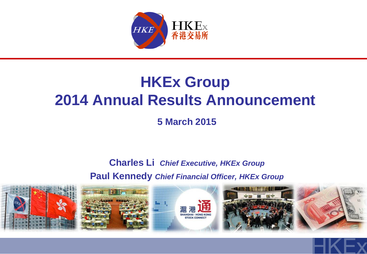

# **HKEx Group 2014 Annual Results Announcement**

**5 March 2015**

**Charles Li** *Chief Executive, HKEx Group* **Paul Kennedy** *Chief Financial Officer, HKEx Group*

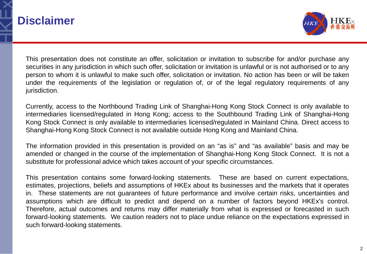



This presentation does not constitute an offer, solicitation or invitation to subscribe for and/or purchase any securities in any jurisdiction in which such offer, solicitation or invitation is unlawful or is not authorised or to any person to whom it is unlawful to make such offer, solicitation or invitation. No action has been or will be taken under the requirements of the legislation or regulation of, or of the legal regulatory requirements of any jurisdiction.

Currently, access to the Northbound Trading Link of Shanghai-Hong Kong Stock Connect is only available to intermediaries licensed/regulated in Hong Kong; access to the Southbound Trading Link of Shanghai-Hong Kong Stock Connect is only available to intermediaries licensed/regulated in Mainland China. Direct access to Shanghai-Hong Kong Stock Connect is not available outside Hong Kong and Mainland China.

The information provided in this presentation is provided on an "as is" and "as available" basis and may be amended or changed in the course of the implementation of Shanghai-Hong Kong Stock Connect. It is not a substitute for professional advice which takes account of your specific circumstances.

This presentation contains some forward-looking statements. These are based on current expectations, estimates, projections, beliefs and assumptions of HKEx about its businesses and the markets that it operates in. These statements are not guarantees of future performance and involve certain risks, uncertainties and assumptions which are difficult to predict and depend on a number of factors beyond HKEx's control. Therefore, actual outcomes and returns may differ materially from what is expressed or forecasted in such forward-looking statements. We caution readers not to place undue reliance on the expectations expressed in such forward-looking statements.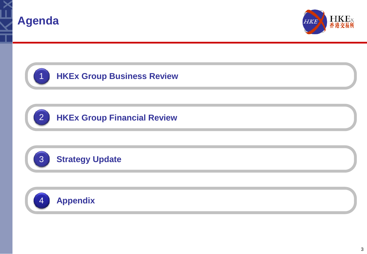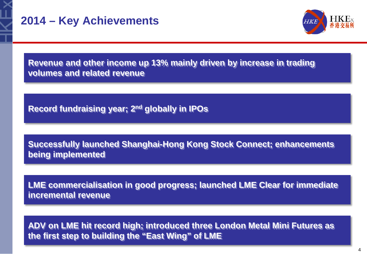

#### **2014 – Key Achievements**



**Revenue and other income up 13% mainly driven by increase in trading volumes and related revenue**

**Record fundraising year; 2nd globally in IPOs**

**Successfully launched Shanghai-Hong Kong Stock Connect; enhancements being implemented**

**LME commercialisation in good progress; launched LME Clear for immediate incremental revenue**

**ADV on LME hit record high; introduced three London Metal Mini Futures as the first step to building the "East Wing" of LME**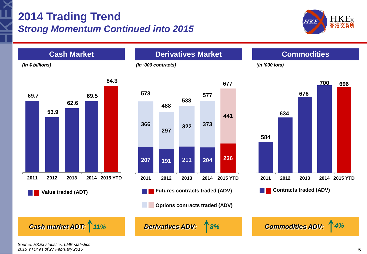*2015 YTD: as of 27 February 2015*

#### **2014 Trading Trend**  *Strong Momentum Continued into 2015*





5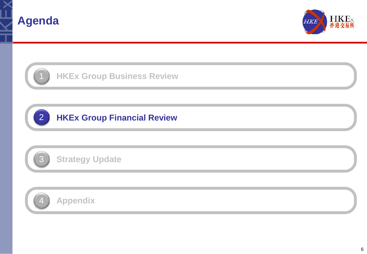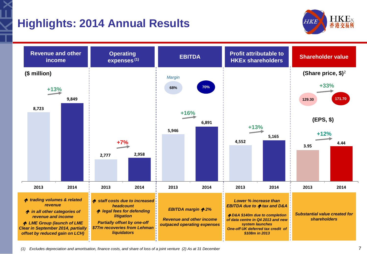#### **Highlights: 2014 Annual Results**





*(1) Excludes depreciation and amortisation, finance costs, and share of loss of a joint venture (2) As at 31 December*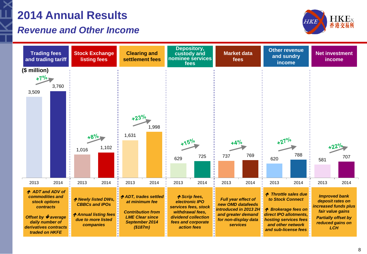## **2014 Annual Results**

#### *Revenue and Other Income*



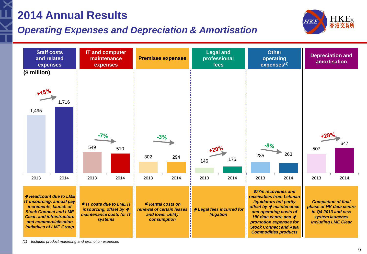#### **2014 Annual Results**

#### *Operating Expenses and Depreciation & Amortisation*





*(1) Includes product marketing and promotion expenses*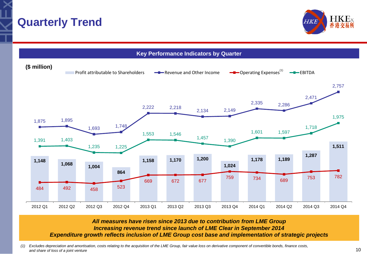



#### *All measures have risen since 2013 due to contribution from LME Group Increasing revenue trend since launch of LME Clear in September 2014 Expenditure growth reflects inclusion of LME Group cost base and implementation of strategic projects*

*(1) Excludes depreciation and amortisation, costs relating to the acquisition of the LME Group, fair value loss on derivative component of convertible bonds, finance costs, and share of loss of a joint venture*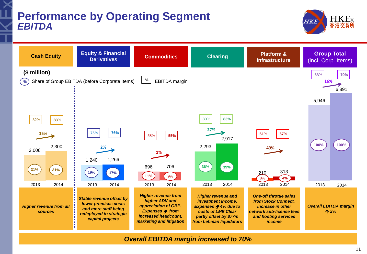#### **Performance by Operating Segment** *EBITDA*





*Overall EBITDA margin increased to 70%*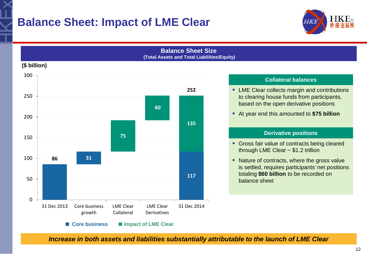



#### **Collateral balances**

- **EXTE** Clear collects margin and contributions to clearing house funds from participants, based on the open derivative positions
- At year end this amounted to **\$75 billion**

#### **Derivative positions**

- Gross fair value of contracts being cleared through LME Clear  $\sim$  \$1.2 trillion
- Nature of contracts, where the gross value is settled, requires participants' net positions totaling **\$60 billion** to be recorded on balance sheet

*Increase in both assets and liabilities substantially attributable to the launch of LME Clear*

**Balance Sheet Size** 

#### **(\$ billion)**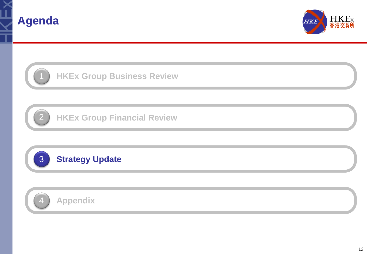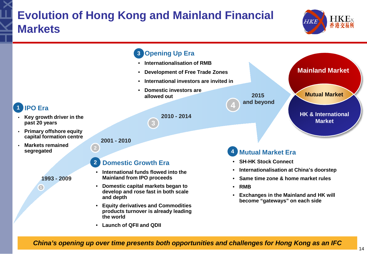## **Evolution of Hong Kong and Mainland Financial Markets**





*China's opening up over time presents both opportunities and challenges for Hong Kong as an IFC*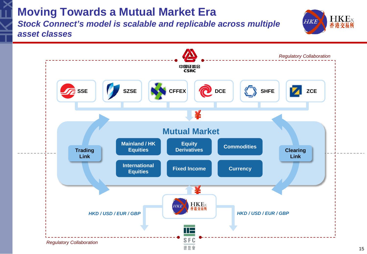## **Moving Towards a Mutual Market Era**

*Stock Connect's model is scalable and replicable across multiple asset classes*



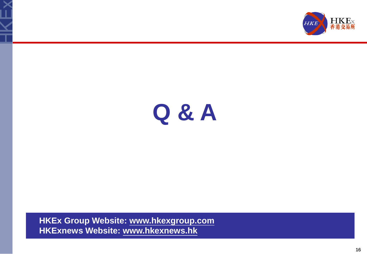



# **Q & A**

**HKEx Group Website: www.hkexgroup.com HKExnews Website: www.hkexnews.hk**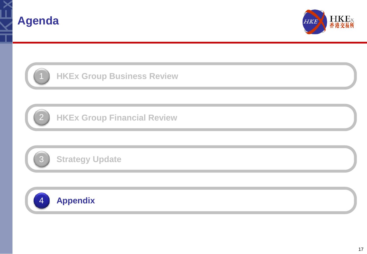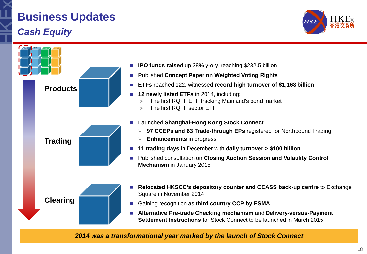## **Business Updates** *Cash Equity*





*2014 was a transformational year marked by the launch of Stock Connect*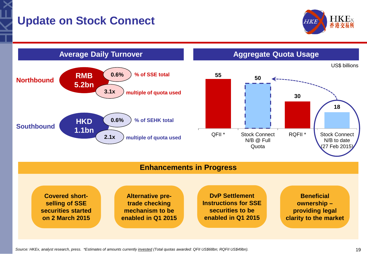

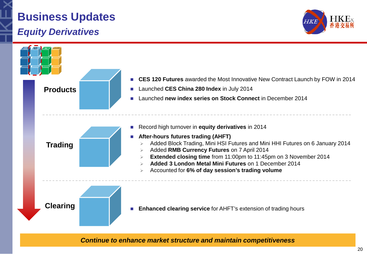# **Business Updates**

#### *Equity Derivatives*



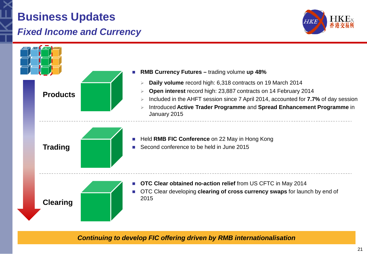### **Business Updates** *Fixed Income and Currency*





*Continuing to develop FIC offering driven by RMB internationalisation*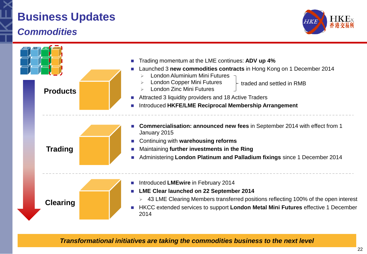### **Business Updates** *Commodities*





*Transformational initiatives are taking the commodities business to the next level*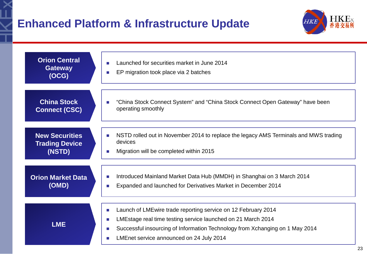

| <b>Orion Central</b><br><b>Gateway</b><br>(OCG)          | Launched for securities market in June 2014<br><b>COL</b><br>EP migration took place via 2 batches<br><b>COL</b>                                                                                                                                                           |
|----------------------------------------------------------|----------------------------------------------------------------------------------------------------------------------------------------------------------------------------------------------------------------------------------------------------------------------------|
| <b>China Stock</b><br><b>Connect (CSC)</b>               | "China Stock Connect System" and "China Stock Connect Open Gateway" have been<br>operating smoothly                                                                                                                                                                        |
| <b>New Securities</b><br><b>Trading Device</b><br>(NSTD) | NSTD rolled out in November 2014 to replace the legacy AMS Terminals and MWS trading<br><b>COL</b><br>devices<br>Migration will be completed within 2015                                                                                                                   |
| <b>Orion Market Data</b><br>(OMD)                        | Introduced Mainland Market Data Hub (MMDH) in Shanghai on 3 March 2014<br><b>COL</b><br>Expanded and launched for Derivatives Market in December 2014                                                                                                                      |
| <b>LME</b>                                               | Launch of LMEwire trade reporting service on 12 February 2014<br>$\mathcal{C}$<br>LMEstage real time testing service launched on 21 March 2014<br>Successful insourcing of Information Technology from Xchanging on 1 May 2014<br>LMEnet service announced on 24 July 2014 |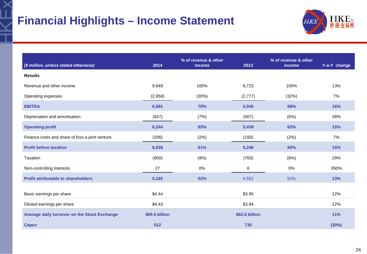## **Financial Highlights – Income Statement**



| (\$ million, unless stated otherwise)           | 2014           | % of revenue & other<br><i>income</i> | 2013           | % of revenue & other<br>income | Y-o-Y change |
|-------------------------------------------------|----------------|---------------------------------------|----------------|--------------------------------|--------------|
| <b>Results</b>                                  |                |                                       |                |                                |              |
| Revenue and other income                        | 9,849          | 100%                                  | 8,723          | 100%                           | 13%          |
| Operating expenses                              | (2,958)        | (30%)                                 | (2, 777)       | (32%)                          | 7%           |
| <b>EBITDA</b>                                   | 6,891          | <b>70%</b>                            | 5,946          | 68%                            | 16%          |
| Depreciation and amortisation                   | (647)          | (7%)                                  | (507)          | (6%)                           | 28%          |
| <b>Operating profit</b>                         | 6,244          | 63%                                   | 5,439          | 62%                            | 15%          |
| Finance costs and share of loss a joint venture | (206)          | (2%)                                  | (193)          | (2%)                           | 7%           |
| <b>Profit before taxation</b>                   | 6,038          | 61%                                   | 5,246          | 60%                            | 15%          |
| Taxation                                        | (900)          | (9%)                                  | (700)          | (8%)                           | 29%          |
| Non-controlling interests                       | 27             | 0%                                    | 6              | 0%                             | 350%         |
| <b>Profit attributable to shareholders</b>      | 5,165          | 52%                                   | 4,552          | 52%                            | 13%          |
| Basic earnings per share                        | \$4.44         |                                       | \$3.95         |                                | 12%          |
| Diluted earnings per share                      | \$4.43         |                                       | \$3.94         |                                | 12%          |
| Average daily turnover on the Stock Exchange    | \$69.5 billion |                                       | \$62.6 billion |                                | <b>11%</b>   |
| <b>Capex</b>                                    | 512            |                                       | 730            |                                | (30%)        |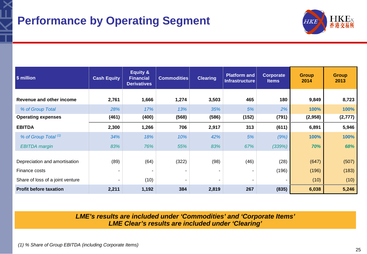

| \$ million                       | <b>Cash Equity</b>       | <b>Equity &amp;</b><br><b>Financial</b><br><b>Derivatives</b> | <b>Commodities</b>       | <b>Clearing</b>          | <b>Platform and</b><br><b>Infrastructure</b> | <b>Corporate</b><br><b>Items</b> | <b>Group</b><br>2014 | <b>Group</b><br>2013 |
|----------------------------------|--------------------------|---------------------------------------------------------------|--------------------------|--------------------------|----------------------------------------------|----------------------------------|----------------------|----------------------|
| Revenue and other income         | 2,761                    | 1,666                                                         | 1,274                    | 3,503                    | 465                                          | 180                              | 9,849                | 8,723                |
| % of Group Total                 | 28%                      | 17%                                                           | 13%                      | 35%                      | 5%                                           | 2%                               | 100%                 | 100%                 |
| <b>Operating expenses</b>        | (461)                    | (400)                                                         | (568)                    | (586)                    | (152)                                        | (791)                            | (2,958)              | (2,777)              |
| <b>EBITDA</b>                    | 2,300                    | 1,266                                                         | 706                      | 2,917                    | 313                                          | (611)                            | 6,891                | 5,946                |
| % of Group Total (1)             | 34%                      | 18%                                                           | 10%                      | 42%                      | 5%                                           | (9%)                             | 100%                 | 100%                 |
| <b>EBITDA</b> margin             | 83%                      | 76%                                                           | 55%                      | 83%                      | 67%                                          | (339%)                           | 70%                  | 68%                  |
|                                  |                          |                                                               |                          |                          |                                              |                                  |                      |                      |
| Depreciation and amortisation    | (89)                     | (64)                                                          | (322)                    | (98)                     | (46)                                         | (28)                             | (647)                | (507)                |
| Finance costs                    |                          |                                                               |                          |                          |                                              | (196)                            | (196)                | (183)                |
| Share of loss of a joint venture | $\overline{\phantom{a}}$ | (10)                                                          | $\overline{\phantom{a}}$ | $\overline{\phantom{a}}$ | $\overline{\phantom{a}}$                     |                                  | (10)                 | (10)                 |
| <b>Profit before taxation</b>    | 2,211                    | 1,192                                                         | 384                      | 2,819                    | 267                                          | (835)                            | 6,038                | 5,246                |

*LME's results are included under 'Commodities' and 'Corporate Items' LME Clear's results are included under 'Clearing'*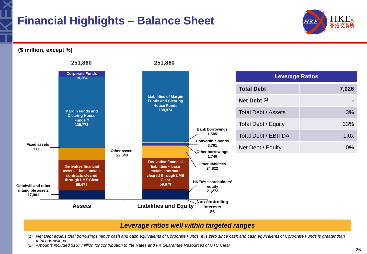#### **Financial Highlights – Balance Sheet**



**(\$ million, except %)**



#### *Leverage ratios well within targeted ranges*

*(1) Net Debt equals total borrowings minus cash and cash equivalents of Corporate Funds. It is zero since cash and cash equivalents of Corporate Funds is greater than total borrowings.*

*(2) Amounts included \$157 million for contribution to the Rates and FX Guarantee Resources of OTC Clear*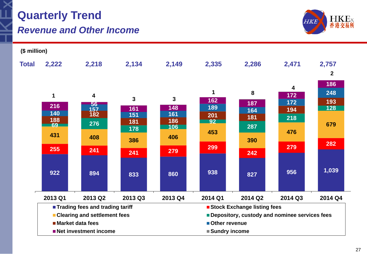# **Quarterly Trend**

#### *Revenue and Other Income*



| $($$ million $)$ |                                                                                                                                                          |                                                          |                                                               |                                                               |                                                                |                                                                                         |                                                                          |                                                 |
|------------------|----------------------------------------------------------------------------------------------------------------------------------------------------------|----------------------------------------------------------|---------------------------------------------------------------|---------------------------------------------------------------|----------------------------------------------------------------|-----------------------------------------------------------------------------------------|--------------------------------------------------------------------------|-------------------------------------------------|
| <b>Total</b>     | 2,222                                                                                                                                                    | 2,218                                                    | 2,134                                                         | 2,149                                                         | 2,335                                                          | 2,286                                                                                   | 2,471                                                                    | 2,757<br>$\mathbf{2}$                           |
|                  | $\mathbf 1$<br>216<br>140<br>188<br>69<br>431<br>255<br>922                                                                                              | 4<br>$\frac{56}{157}$<br>182<br>276<br>408<br>241<br>894 | $\mathbf{3}$<br>161<br>151<br>181<br>178<br>386<br>241<br>833 | $\mathbf{3}$<br>148<br>161<br>186<br>106<br>406<br>279<br>860 | 1<br>162<br>189<br>201<br>92 <sub>1</sub><br>453<br>299<br>938 | 8<br>187<br>164<br>181<br>287<br>390<br>242<br>827                                      | $\overline{\mathbf{4}}$<br>172<br>172<br>194<br>218<br>476<br>279<br>956 | 186<br>248<br>193<br>128<br>679<br>282<br>1,039 |
|                  | 2013 Q1<br>2013 Q2<br>2013 Q3<br>■ Trading fees and trading tariff<br>Clearing and settlement fees<br><b>Market data fees</b><br>■ Net investment income |                                                          |                                                               | 2013 Q4                                                       | 2014 Q1<br>Other revenue<br>■ Sundry income                    | 2014 Q2<br>Stock Exchange listing fees<br>Depository, custody and nominee services fees | 2014 Q3                                                                  | 2014 Q4                                         |